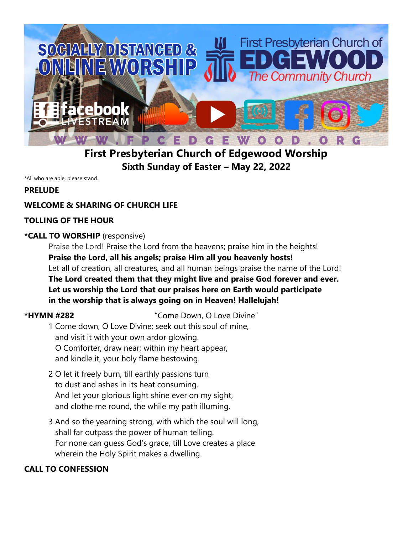

# **First Presbyterian Church of Edgewood Worship Sixth Sunday of Easter – May 22, 2022**

\*All who are able, please stand.

### **PRELUDE**

## **WELCOME & SHARING OF CHURCH LIFE**

### **TOLLING OF THE HOUR**

### **\*CALL TO WORSHIP** (responsive)

Praise the Lord! Praise the Lord from the heavens; praise him in the heights! **Praise the Lord, all his angels; praise Him all you heavenly hosts!** Let all of creation, all creatures, and all human beings praise the name of the Lord! **The Lord created them that they might live and praise God forever and ever. Let us worship the Lord that our praises here on Earth would participate in the worship that is always going on in Heaven! Hallelujah!**

**\*HYMN #282** "Come Down, O Love Divine"

- 1 Come down, O Love Divine; seek out this soul of mine, and visit it with your own ardor glowing. O Comforter, draw near; within my heart appear, and kindle it, your holy flame bestowing.
- 2 O let it freely burn, till earthly passions turn to dust and ashes in its heat consuming. And let your glorious light shine ever on my sight, and clothe me round, the while my path illuming.
- 3 And so the yearning strong, with which the soul will long, shall far outpass the power of human telling. For none can guess God's grace, till Love creates a place wherein the Holy Spirit makes a dwelling.

# **CALL TO CONFESSION**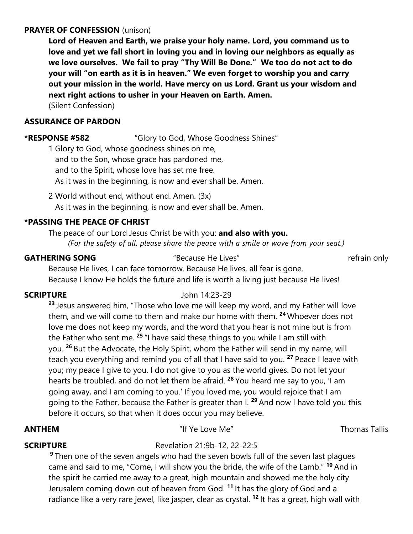### **PRAYER OF CONFESSION** (unison)

**Lord of Heaven and Earth, we praise your holy name. Lord, you command us to love and yet we fall short in loving you and in loving our neighbors as equally as we love ourselves. We fail to pray "Thy Will Be Done." We too do not act to do your will "on earth as it is in heaven." We even forget to worship you and carry out your mission in the world. Have mercy on us Lord. Grant us your wisdom and next right actions to usher in your Heaven on Earth. Amen.**

(Silent Confession)

### **ASSURANCE OF PARDON**

**\*RESPONSE #582** "Glory to God, Whose Goodness Shines"

1 Glory to God, whose goodness shines on me, and to the Son, whose grace has pardoned me, and to the Spirit, whose love has set me free. As it was in the beginning, is now and ever shall be. Amen.

2 World without end, without end. Amen. (3x) As it was in the beginning, is now and ever shall be. Amen.

## **\*PASSING THE PEACE OF CHRIST**

The peace of our Lord Jesus Christ be with you: **and also with you.** *(For the safety of all, please share the peace with a smile or wave from your seat.)*

### **GATHERING SONG** The "Because He Lives" **CATHERING SONG** The state of the state of the state of the state of the state of the state of the state of the state of the state of the state of the state of the state of the state

Because He lives, I can face tomorrow. Because He lives, all fear is gone. Because I know He holds the future and life is worth a living just because He lives!

### **SCRIPTURE** John 14:23-29

**<sup>23</sup>** Jesus answered him, "Those who love me will keep my word, and my Father will love them, and we will come to them and make our home with them. **<sup>24</sup>** Whoever does not love me does not keep my words, and the word that you hear is not mine but is from the Father who sent me. **<sup>25</sup>** "I have said these things to you while I am still with you. **<sup>26</sup>** But the Advocate, the Holy Spirit, whom the Father will send in my name, will teach you everything and remind you of all that I have said to you. **<sup>27</sup>** Peace I leave with you; my peace I give to you. I do not give to you as the world gives. Do not let your hearts be troubled, and do not let them be afraid. **<sup>28</sup>** You heard me say to you, 'I am going away, and I am coming to you.' If you loved me, you would rejoice that I am going to the Father, because the Father is greater than I. **<sup>29</sup>** And now I have told you this before it occurs, so that when it does occur you may believe.

### **ANTHEM** Thomas Tallis **ANTHEM** Thomas Tallis

### **SCRIPTURE** Revelation 21:9b-12, 22-22:5

**<sup>9</sup>** Then one of the seven angels who had the seven bowls full of the seven last plagues came and said to me, "Come, I will show you the bride, the wife of the Lamb." **<sup>10</sup>** And in the spirit he carried me away to a great, high mountain and showed me the holy city Jerusalem coming down out of heaven from God. **<sup>11</sup>** It has the glory of God and a radiance like a very rare jewel, like jasper, clear as crystal. **<sup>12</sup>** It has a great, high wall with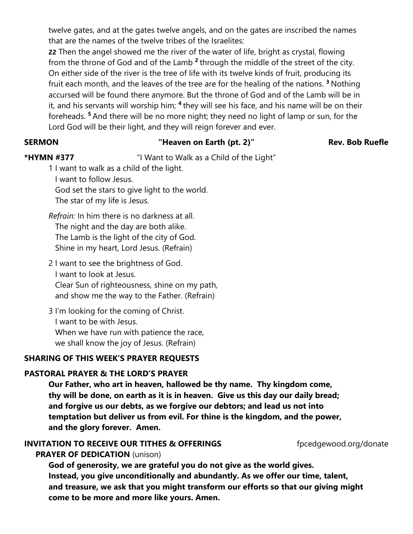twelve gates, and at the gates twelve angels, and on the gates are inscribed the names that are the names of the twelve tribes of the Israelites:

**22** Then the angel showed me the river of the water of life, bright as crystal, flowing from the throne of God and of the Lamb **<sup>2</sup>** through the middle of the street of the city. On either side of the river is the tree of life with its twelve kinds of fruit, producing its fruit each month, and the leaves of the tree are for the healing of the nations. **<sup>3</sup>** Nothing accursed will be found there anymore. But the throne of God and of the Lamb will be in it, and his servants will worship him; **<sup>4</sup>** they will see his face, and his name will be on their foreheads. **<sup>5</sup>** And there will be no more night; they need no light of lamp or sun, for the Lord God will be their light, and they will reign forever and ever.

### **SERMON "Heaven on Earth (pt. 2)" Rev. Bob Ruefle**

**\*HYMN #377** "I Want to Walk as a Child of the Light"

1 I want to walk as a child of the light. I want to follow Jesus. God set the stars to give light to the world.

The star of my life is Jesus.

*Refrain:* In him there is no darkness at all. The night and the day are both alike. The Lamb is the light of the city of God. Shine in my heart, Lord Jesus. (Refrain)

- 2 I want to see the brightness of God. I want to look at Jesus. Clear Sun of righteousness, shine on my path, and show me the way to the Father. (Refrain)
- 3 I'm looking for the coming of Christ.

 I want to be with Jesus. When we have run with patience the race, we shall know the joy of Jesus. (Refrain)

### **SHARING OF THIS WEEK'S PRAYER REQUESTS**

### **PASTORAL PRAYER & THE LORD'S PRAYER**

**Our Father, who art in heaven, hallowed be thy name. Thy kingdom come, thy will be done, on earth as it is in heaven. Give us this day our daily bread; and forgive us our debts, as we forgive our debtors; and lead us not into temptation but deliver us from evil. For thine is the kingdom, and the power, and the glory forever. Amen.**

# **INVITATION TO RECEIVE OUR TITHES & OFFERINGS** fpcedgewood.org/donate

### **PRAYER OF DEDICATION** (unison)

**God of generosity, we are grateful you do not give as the world gives. Instead, you give unconditionally and abundantly. As we offer our time, talent, and treasure, we ask that you might transform our efforts so that our giving might come to be more and more like yours. Amen.**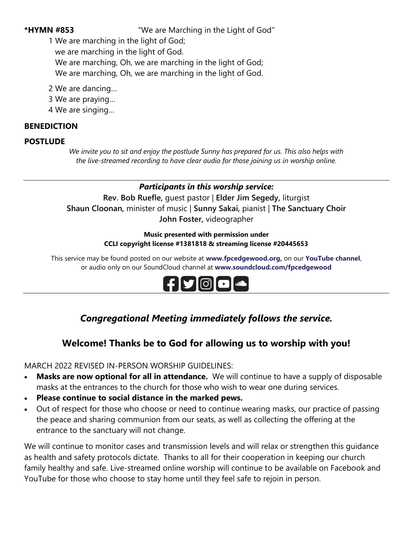**\*HYMN #853** "We are Marching in the Light of God"

1 We are marching in the light of God; we are marching in the light of God. We are marching, Oh, we are marching in the light of God; We are marching, Oh, we are marching in the light of God.

- 2 We are dancing…
- 3 We are praying…
- 4 We are singing…

### **BENEDICTION**

### **POSTLUDE**

*We invite you to sit and enjoy the postlude Sunny has prepared for us. This also helps with the live-streamed recording to have clear audio for those joining us in worship online.*

### *Participants in this worship service:*

**Rev. Bob Ruefle,** guest pastor | **Elder Jim Segedy,** liturgist **Shaun Cloonan,** minister of music | **Sunny Sakai,** pianist | **The Sanctuary Choir John Foster,** videographer

### **Music presented with permission under CCLI copyright license #1381818 & streaming license #20445653**

This service may be found posted on our website at **[www.fpcedgewood.org,](http://www.fpcedgewood.org/)** on our **[YouTube channel](https://www.youtube.com/channel/UCbY-v1Y1FJsCvHgDPkLibFg)**, or audio only on our SoundCloud channel at **[www.soundcloud.com/fpcedgewood](http://www.soundcloud.com/fpcedgewood)**



# *Congregational Meeting immediately follows the service.*

# **Welcome! Thanks be to God for allowing us to worship with you!**

MARCH 2022 REVISED IN-PERSON WORSHIP GUIDELINES:

- **Masks are now optional for all in attendance.** We will continue to have a supply of disposable masks at the entrances to the church for those who wish to wear one during services.
- **Please continue to social distance in the marked pews.**
- Out of respect for those who choose or need to continue wearing masks, our practice of passing the peace and sharing communion from our seats, as well as collecting the offering at the entrance to the sanctuary will not change.

We will continue to monitor cases and transmission levels and will relax or strengthen this guidance as health and safety protocols dictate. Thanks to all for their cooperation in keeping our church family healthy and safe. Live-streamed online worship will continue to be available on Facebook and YouTube for those who choose to stay home until they feel safe to rejoin in person.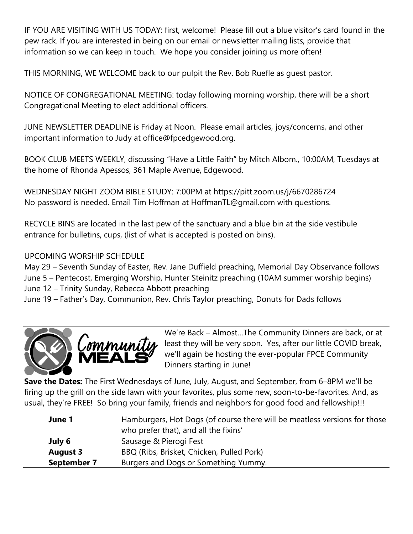IF YOU ARE VISITING WITH US TODAY: first, welcome! Please fill out a blue visitor's card found in the pew rack. If you are interested in being on our email or newsletter mailing lists, provide that information so we can keep in touch. We hope you consider joining us more often!

THIS MORNING, WE WELCOME back to our pulpit the Rev. Bob Ruefle as guest pastor.

NOTICE OF CONGREGATIONAL MEETING: today following morning worship, there will be a short Congregational Meeting to elect additional officers.

JUNE NEWSLETTER DEADLINE is Friday at Noon. Please email articles, joys/concerns, and other important information to Judy at office@fpcedgewood.org.

BOOK CLUB MEETS WEEKLY, discussing "Have a Little Faith" by Mitch Albom., 10:00AM, Tuesdays at the home of Rhonda Apessos, 361 Maple Avenue, Edgewood.

WEDNESDAY NIGHT ZOOM BIBLE STUDY: 7:00PM at<https://pitt.zoom.us/j/6670286724> No password is needed. Email Tim Hoffman at [HoffmanTL@gmail.com](mailto:HoffmanTL@gmail.com) with questions.

RECYCLE BINS are located in the last pew of the sanctuary and a blue bin at the side vestibule entrance for bulletins, cups, (list of what is accepted is posted on bins).

## UPCOMING WORSHIP SCHEDULE

May 29 – Seventh Sunday of Easter, Rev. Jane Duffield preaching, Memorial Day Observance follows June 5 – Pentecost, Emerging Worship, Hunter Steinitz preaching (10AM summer worship begins) June 12 – Trinity Sunday, Rebecca Abbott preaching

June 19 – Father's Day, Communion, Rev. Chris Taylor preaching, Donuts for Dads follows



We're Back – Almost…The Community Dinners are back, or at least they will be very soon. Yes, after our little COVID break, we'll again be hosting the ever-popular FPCE Community Dinners starting in June!

**Save the Dates:** The First Wednesdays of June, July, August, and September, from 6–8PM we'll be firing up the grill on the side lawn with your favorites, plus some new, soon-to-be-favorites. And, as usual, they're FREE! So bring your family, friends and neighbors for good food and fellowship!!!

| June 1          | Hamburgers, Hot Dogs (of course there will be meatless versions for those<br>who prefer that), and all the fixins' |
|-----------------|--------------------------------------------------------------------------------------------------------------------|
| July 6          | Sausage & Pierogi Fest                                                                                             |
| <b>August 3</b> | BBQ (Ribs, Brisket, Chicken, Pulled Pork)                                                                          |
| September 7     | Burgers and Dogs or Something Yummy.                                                                               |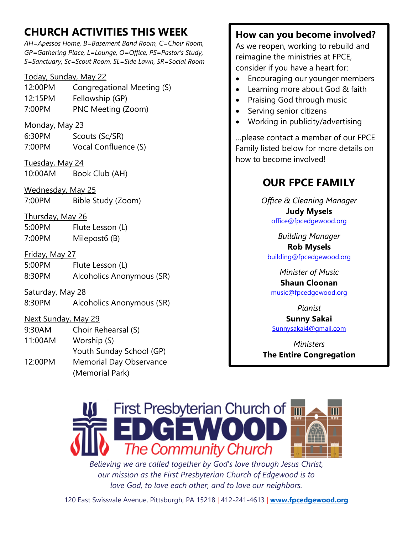# **CHURCH ACTIVITIES THIS WEEK**

*AH=Apessos Home, B=Basement Band Room, C=Choir Room, GP=Gathering Place, L=Lounge, O=Office, PS=Pastor's Study, S=Sanctuary, Sc=Scout Room, SL=Side Lawn, SR=Social Room* 

# Today, Sunday, May 22

12:00PM Congregational Meeting (S) 12:15PM Fellowship (GP) 7:00PM PNC Meeting (Zoom)

## Monday, May 23

6:30PM Scouts (Sc/SR) 7:00PM Vocal Confluence (S)

Tuesday, May 24 10:00AM Book Club (AH)

Wednesday, May 25 7:00PM Bible Study (Zoom)

# Thursday, May 26

5:00PM Flute Lesson (L) 7:00PM Milepost6 (B)

Friday, May 27 5:00PM Flute Lesson (L) 8:30PM Alcoholics Anonymous (SR)

Saturday, May 28 8:30PM Alcoholics Anonymous (SR)

# Next Sunday, May 29

| 9:30AM  | Choir Rehearsal (S)      |
|---------|--------------------------|
| 11:00AM | Worship (S)              |
|         | Youth Sunday School (GP) |

12:00PM Memorial Day Observance (Memorial Park)

# **How can you become involved?**

As we reopen, working to rebuild and reimagine the ministries at FPCE, consider if you have a heart for:

- Encouraging our younger members
- Learning more about God & faith
- Praising God through music
- Serving senior citizens
- Working in publicity/advertising

…please contact a member of our FPCE Family listed below for more details on how to become involved!

# **OUR FPCE FAMILY**

*Office & Cleaning Manager* **Judy Mysels** [office@fpcedgewood.org](mailto:office@fpcedgewood.org)

*Building Manager* **Rob Mysels** [building@fpcedgewood.org](mailto:building@fpcedgewood.org)

*Minister of Music*

**Shaun Cloonan** [music@fpcedgewood.org](mailto:music@fpcedgewood.org)

*Pianist* **Sunny Sakai** [Sunnysakai4@gmail.com](mailto:Sunnysakai4@gmail.com)

*Ministers* **The Entire Congregation**



*Believing we are called together by God*'*s love through Jesus Christ, our mission as the First Presbyterian Church of Edgewood is to love God, to love each other, and to love our neighbors.*

120 East Swissvale Avenue, Pittsburgh, PA 15218 | 412-241-4613 | **[www.fpcedgewood.org](http://www.fpcedgewood.org/)**